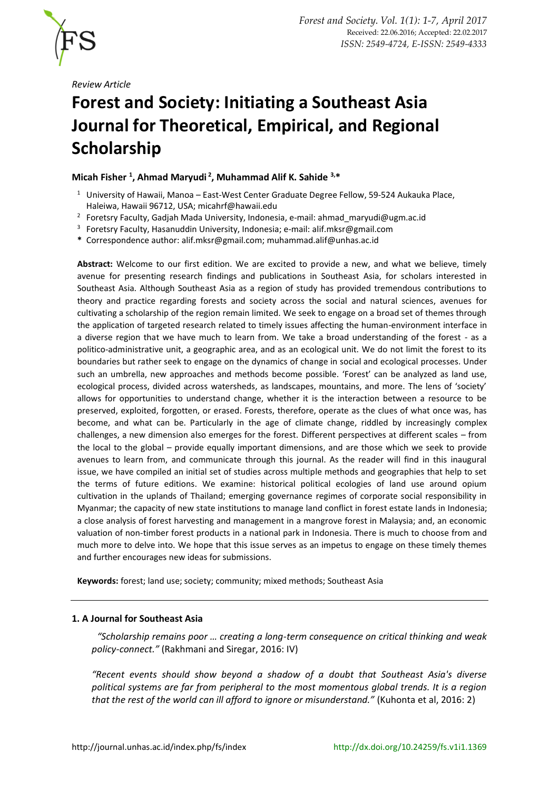

*Review Article*

# **Forest and Society: Initiating a Southeast Asia Journal for Theoretical, Empirical, and Regional Scholarship**

# **Micah Fisher <sup>1</sup> , Ahmad Maryudi <sup>2</sup> , Muhammad Alif K. Sahide 3,\***

- <sup>1</sup> University of Hawaii, Manoa East-West Center Graduate Degree Fellow, 59-524 Aukauka Place, Haleiwa, Hawaii 96712, USA; [micahrf@hawaii.edu](mailto:micahrf@hawaii.edu)
- <sup>2</sup> Foretsry Faculty, Gadjah Mada University, Indonesia, e-mail: [ahmad\\_maryudi@ugm.ac.id](mailto:ahmad_maryudi@ugm.ac.id)
- <sup>3</sup> Foretsry Faculty, Hasanuddin University, Indonesia; e-mail: [alif.mksr@gmail.com](mailto:alif.mksr@gmail.com)
- **\*** Correspondence author[: alif.mksr@gmail.com;](mailto:alif.mksr@gmail.com) [muhammad.alif@unhas.ac.id](mailto:muhammad.alif@unhas.ac.id)

**Abstract:** Welcome to our first edition. We are excited to provide a new, and what we believe, timely avenue for presenting research findings and publications in Southeast Asia, for scholars interested in Southeast Asia. Although Southeast Asia as a region of study has provided tremendous contributions to theory and practice regarding forests and society across the social and natural sciences, avenues for cultivating a scholarship of the region remain limited. We seek to engage on a broad set of themes through the application of targeted research related to timely issues affecting the human-environment interface in a diverse region that we have much to learn from. We take a broad understanding of the forest - as a politico-administrative unit, a geographic area, and as an ecological unit. We do not limit the forest to its boundaries but rather seek to engage on the dynamics of change in social and ecological processes. Under such an umbrella, new approaches and methods become possible. 'Forest' can be analyzed as land use, ecological process, divided across watersheds, as landscapes, mountains, and more. The lens of 'society' allows for opportunities to understand change, whether it is the interaction between a resource to be preserved, exploited, forgotten, or erased. Forests, therefore, operate as the clues of what once was, has become, and what can be. Particularly in the age of climate change, riddled by increasingly complex challenges, a new dimension also emerges for the forest. Different perspectives at different scales – from the local to the global – provide equally important dimensions, and are those which we seek to provide avenues to learn from, and communicate through this journal. As the reader will find in this inaugural issue, we have compiled an initial set of studies across multiple methods and geographies that help to set the terms of future editions. We examine: historical political ecologies of land use around opium cultivation in the uplands of Thailand; emerging governance regimes of corporate social responsibility in Myanmar; the capacity of new state institutions to manage land conflict in forest estate lands in Indonesia; a close analysis of forest harvesting and management in a mangrove forest in Malaysia; and, an economic valuation of non-timber forest products in a national park in Indonesia. There is much to choose from and much more to delve into. We hope that this issue serves as an impetus to engage on these timely themes and further encourages new ideas for submissions.

**Keywords:** forest; land use; society; community; mixed methods; Southeast Asia

# **1. A Journal for Southeast Asia**

*"Scholarship remains poor … creating a long-term consequence on critical thinking and weak policy-connect."* (Rakhmani and Siregar, 2016: IV)

*"Recent events should show beyond a shadow of a doubt that Southeast Asia's diverse political systems are far from peripheral to the most momentous global trends. It is a region that the rest of the world can ill afford to ignore or misunderstand."* (Kuhonta et al, 2016: 2)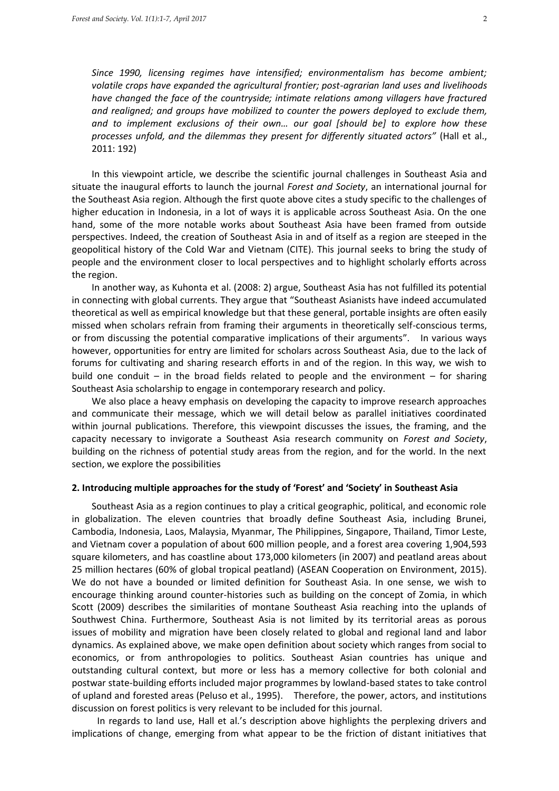*Since 1990, licensing regimes have intensified; environmentalism has become ambient; volatile crops have expanded the agricultural frontier; post-agrarian land uses and livelihoods have changed the face of the countryside; intimate relations among villagers have fractured and realigned; and groups have mobilized to counter the powers deployed to exclude them, and to implement exclusions of their own… our goal [should be] to explore how these processes unfold, and the dilemmas they present for differently situated actors"* (Hall et al., 2011: 192)

In this viewpoint article, we describe the scientific journal challenges in Southeast Asia and situate the inaugural efforts to launch the journal *Forest and Society*, an international journal for the Southeast Asia region. Although the first quote above cites a study specific to the challenges of higher education in Indonesia, in a lot of ways it is applicable across Southeast Asia. On the one hand, some of the more notable works about Southeast Asia have been framed from outside perspectives. Indeed, the creation of Southeast Asia in and of itself as a region are steeped in the geopolitical history of the Cold War and Vietnam (CITE). This journal seeks to bring the study of people and the environment closer to local perspectives and to highlight scholarly efforts across the region.

In another way, as Kuhonta et al. (2008: 2) argue, Southeast Asia has not fulfilled its potential in connecting with global currents. They argue that "Southeast Asianists have indeed accumulated theoretical as well as empirical knowledge but that these general, portable insights are often easily missed when scholars refrain from framing their arguments in theoretically self-conscious terms, or from discussing the potential comparative implications of their arguments". In various ways however, opportunities for entry are limited for scholars across Southeast Asia, due to the lack of forums for cultivating and sharing research efforts in and of the region. In this way, we wish to build one conduit – in the broad fields related to people and the environment – for sharing Southeast Asia scholarship to engage in contemporary research and policy.

We also place a heavy emphasis on developing the capacity to improve research approaches and communicate their message, which we will detail below as parallel initiatives coordinated within journal publications. Therefore, this viewpoint discusses the issues, the framing, and the capacity necessary to invigorate a Southeast Asia research community on *Forest and Society*, building on the richness of potential study areas from the region, and for the world. In the next section, we explore the possibilities

## **2. Introducing multiple approaches for the study of 'Forest' and 'Society' in Southeast Asia**

Southeast Asia as a region continues to play a critical geographic, political, and economic role in globalization. The eleven countries that broadly define Southeast Asia, including Brunei, Cambodia, Indonesia, Laos, Malaysia, Myanmar, The Philippines, Singapore, Thailand, Timor Leste, and Vietnam cover a population of about 600 million people, and a forest area covering 1,904,593 square kilometers, and has coastline about 173,000 kilometers (in 2007) and peatland areas about 25 million hectares (60% of global tropical peatland) (ASEAN Cooperation on Environment, 2015). We do not have a bounded or limited definition for Southeast Asia. In one sense, we wish to encourage thinking around counter-histories such as building on the concept of Zomia, in which Scott (2009) describes the similarities of montane Southeast Asia reaching into the uplands of Southwest China. Furthermore, Southeast Asia is not limited by its territorial areas as porous issues of mobility and migration have been closely related to global and regional land and labor dynamics. As explained above, we make open definition about society which ranges from social to economics, or from anthropologies to politics. Southeast Asian countries has unique and outstanding cultural context, but more or less has a memory collective for both colonial and postwar state-building efforts included major programmes by lowland-based states to take control of upland and forested areas (Peluso et al., 1995). Therefore, the power, actors, and institutions discussion on forest politics is very relevant to be included for this journal.

In regards to land use, Hall et al.'s description above highlights the perplexing drivers and implications of change, emerging from what appear to be the friction of distant initiatives that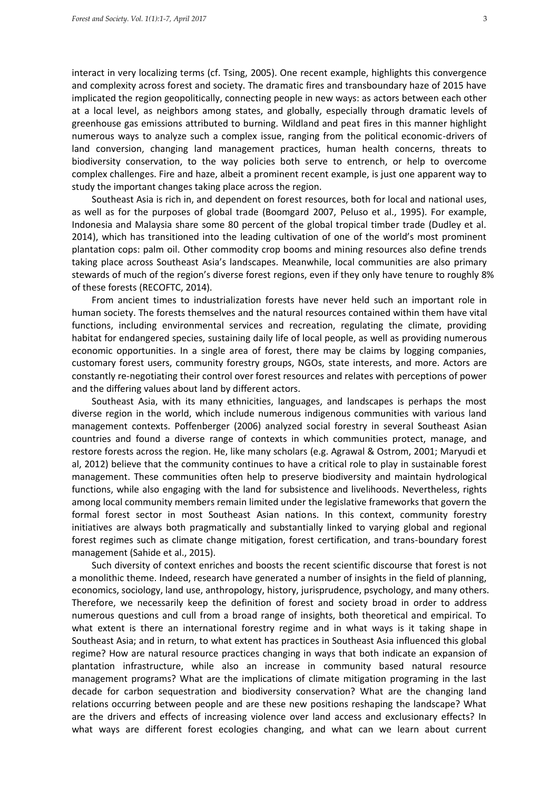interact in very localizing terms (cf. Tsing, 2005). One recent example, highlights this convergence and complexity across forest and society. The dramatic fires and transboundary haze of 2015 have implicated the region geopolitically, connecting people in new ways: as actors between each other at a local level, as neighbors among states, and globally, especially through dramatic levels of greenhouse gas emissions attributed to burning. Wildland and peat fires in this manner highlight numerous ways to analyze such a complex issue, ranging from the political economic-drivers of land conversion, changing land management practices, human health concerns, threats to biodiversity conservation, to the way policies both serve to entrench, or help to overcome complex challenges. Fire and haze, albeit a prominent recent example, is just one apparent way to study the important changes taking place across the region.

Southeast Asia is rich in, and dependent on forest resources, both for local and national uses, as well as for the purposes of global trade (Boomgard 2007, Peluso et al., 1995). For example, Indonesia and Malaysia share some 80 percent of the global tropical timber trade (Dudley et al. 2014), which has transitioned into the leading cultivation of one of the world's most prominent plantation cops: palm oil. Other commodity crop booms and mining resources also define trends taking place across Southeast Asia's landscapes. Meanwhile, local communities are also primary stewards of much of the region's diverse forest regions, even if they only have tenure to roughly 8% of these forests (RECOFTC, 2014).

From ancient times to industrialization forests have never held such an important role in human society. The forests themselves and the natural resources contained within them have vital functions, including environmental services and recreation, regulating the climate, providing habitat for endangered species, sustaining daily life of local people, as well as providing numerous economic opportunities. In a single area of forest, there may be claims by logging companies, customary forest users, community forestry groups, NGOs, state interests, and more. Actors are constantly re-negotiating their control over forest resources and relates with perceptions of power and the differing values about land by different actors.

Southeast Asia, with its many ethnicities, languages, and landscapes is perhaps the most diverse region in the world, which include numerous indigenous communities with various land management contexts. Poffenberger (2006) analyzed social forestry in several Southeast Asian countries and found a diverse range of contexts in which communities protect, manage, and restore forests across the region. He, like many scholars (e.g. Agrawal & Ostrom, 2001; Maryudi et al, 2012) believe that the community continues to have a critical role to play in sustainable forest management. These communities often help to preserve biodiversity and maintain hydrological functions, while also engaging with the land for subsistence and livelihoods. Nevertheless, rights among local community members remain limited under the legislative frameworks that govern the formal forest sector in most Southeast Asian nations. In this context, community forestry initiatives are always both pragmatically and substantially linked to varying global and regional forest regimes such as climate change mitigation, forest certification, and trans-boundary forest management (Sahide et al., 2015).

Such diversity of context enriches and boosts the recent scientific discourse that forest is not a monolithic theme. Indeed, research have generated a number of insights in the field of planning, economics, sociology, land use, anthropology, history, jurisprudence, psychology, and many others. Therefore, we necessarily keep the definition of forest and society broad in order to address numerous questions and cull from a broad range of insights, both theoretical and empirical. To what extent is there an international forestry regime and in what ways is it taking shape in Southeast Asia; and in return, to what extent has practices in Southeast Asia influenced this global regime? How are natural resource practices changing in ways that both indicate an expansion of plantation infrastructure, while also an increase in community based natural resource management programs? What are the implications of climate mitigation programing in the last decade for carbon sequestration and biodiversity conservation? What are the changing land relations occurring between people and are these new positions reshaping the landscape? What are the drivers and effects of increasing violence over land access and exclusionary effects? In what ways are different forest ecologies changing, and what can we learn about current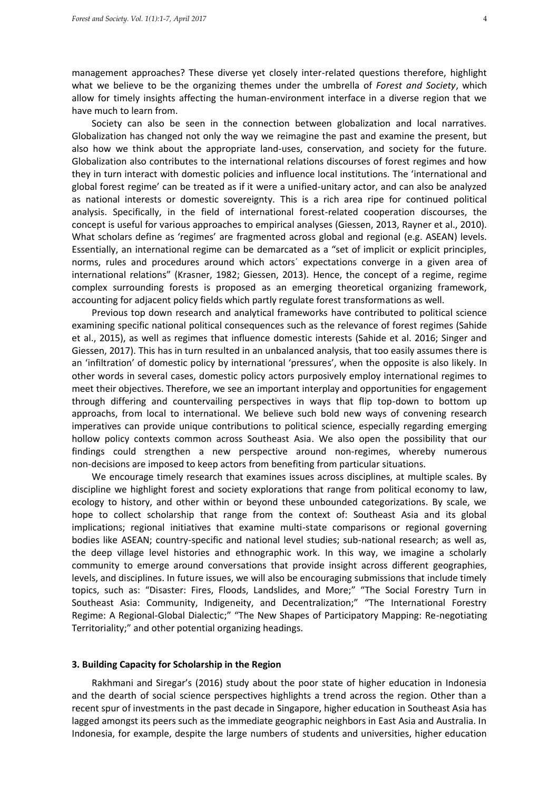management approaches? These diverse yet closely inter-related questions therefore, highlight what we believe to be the organizing themes under the umbrella of *Forest and Society*, which allow for timely insights affecting the human-environment interface in a diverse region that we have much to learn from.

Society can also be seen in the connection between globalization and local narratives. Globalization has changed not only the way we reimagine the past and examine the present, but also how we think about the appropriate land-uses, conservation, and society for the future. Globalization also contributes to the international relations discourses of forest regimes and how they in turn interact with domestic policies and influence local institutions. The 'international and global forest regime' can be treated as if it were a unified-unitary actor, and can also be analyzed as national interests or domestic sovereignty. This is a rich area ripe for continued political analysis. Specifically, in the field of international forest-related cooperation discourses, the concept is useful for various approaches to empirical analyses (Giessen, 2013, Rayner et al., 2010). What scholars define as 'regimes' are fragmented across global and regional (e.g. ASEAN) levels. Essentially, an international regime can be demarcated as a "set of implicit or explicit principles, norms, rules and procedures around which actors´ expectations converge in a given area of international relations" (Krasner, 1982; Giessen, 2013). Hence, the concept of a regime, regime complex surrounding forests is proposed as an emerging theoretical organizing framework, accounting for adjacent policy fields which partly regulate forest transformations as well.

Previous top down research and analytical frameworks have contributed to political science examining specific national political consequences such as the relevance of forest regimes (Sahide et al., 2015), as well as regimes that influence domestic interests (Sahide et al. 2016; Singer and Giessen, 2017). This has in turn resulted in an unbalanced analysis, that too easily assumes there is an 'infiltration' of domestic policy by international 'pressures', when the opposite is also likely. In other words in several cases, domestic policy actors purposively employ international regimes to meet their objectives. Therefore, we see an important interplay and opportunities for engagement through differing and countervailing perspectives in ways that flip top-down to bottom up approachs, from local to international. We believe such bold new ways of convening research imperatives can provide unique contributions to political science, especially regarding emerging hollow policy contexts common across Southeast Asia. We also open the possibility that our findings could strengthen a new perspective around non-regimes, whereby numerous non-decisions are imposed to keep actors from benefiting from particular situations.

We encourage timely research that examines issues across disciplines, at multiple scales. By discipline we highlight forest and society explorations that range from political economy to law, ecology to history, and other within or beyond these unbounded categorizations. By scale, we hope to collect scholarship that range from the context of: Southeast Asia and its global implications; regional initiatives that examine multi-state comparisons or regional governing bodies like ASEAN; country-specific and national level studies; sub-national research; as well as, the deep village level histories and ethnographic work. In this way, we imagine a scholarly community to emerge around conversations that provide insight across different geographies, levels, and disciplines. In future issues, we will also be encouraging submissions that include timely topics, such as: "Disaster: Fires, Floods, Landslides, and More;" "The Social Forestry Turn in Southeast Asia: Community, Indigeneity, and Decentralization;" "The International Forestry Regime: A Regional-Global Dialectic;" "The New Shapes of Participatory Mapping: Re-negotiating Territoriality;" and other potential organizing headings.

## **3. Building Capacity for Scholarship in the Region**

Rakhmani and Siregar's (2016) study about the poor state of higher education in Indonesia and the dearth of social science perspectives highlights a trend across the region. Other than a recent spur of investments in the past decade in Singapore, higher education in Southeast Asia has lagged amongst its peers such as the immediate geographic neighbors in East Asia and Australia. In Indonesia, for example, despite the large numbers of students and universities, higher education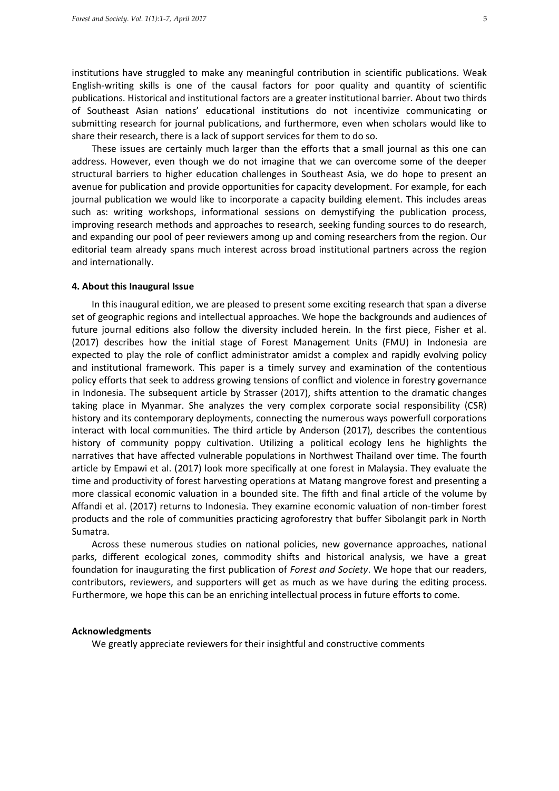institutions have struggled to make any meaningful contribution in scientific publications. Weak English-writing skills is one of the causal factors for poor quality and quantity of scientific publications. Historical and institutional factors are a greater institutional barrier. About two thirds of Southeast Asian nations' educational institutions do not incentivize communicating or submitting research for journal publications, and furthermore, even when scholars would like to share their research, there is a lack of support services for them to do so.

These issues are certainly much larger than the efforts that a small journal as this one can address. However, even though we do not imagine that we can overcome some of the deeper structural barriers to higher education challenges in Southeast Asia, we do hope to present an avenue for publication and provide opportunities for capacity development. For example, for each journal publication we would like to incorporate a capacity building element. This includes areas such as: writing workshops, informational sessions on demystifying the publication process, improving research methods and approaches to research, seeking funding sources to do research, and expanding our pool of peer reviewers among up and coming researchers from the region. Our editorial team already spans much interest across broad institutional partners across the region and internationally.

#### **4. About this Inaugural Issue**

In this inaugural edition, we are pleased to present some exciting research that span a diverse set of geographic regions and intellectual approaches. We hope the backgrounds and audiences of future journal editions also follow the diversity included herein. In the first piece, Fisher et al. (2017) describes how the initial stage of Forest Management Units (FMU) in Indonesia are expected to play the role of conflict administrator amidst a complex and rapidly evolving policy and institutional framework. This paper is a timely survey and examination of the contentious policy efforts that seek to address growing tensions of conflict and violence in forestry governance in Indonesia. The subsequent article by Strasser (2017), shifts attention to the dramatic changes taking place in Myanmar. She analyzes the very complex corporate social responsibility (CSR) history and its contemporary deployments, connecting the numerous ways powerfull corporations interact with local communities. The third article by Anderson (2017), describes the contentious history of community poppy cultivation. Utilizing a political ecology lens he highlights the narratives that have affected vulnerable populations in Northwest Thailand over time. The fourth article by Empawi et al. (2017) look more specifically at one forest in Malaysia. They evaluate the time and productivity of forest harvesting operations at Matang mangrove forest and presenting a more classical economic valuation in a bounded site. The fifth and final article of the volume by Affandi et al. (2017) returns to Indonesia. They examine economic valuation of non-timber forest products and the role of communities practicing agroforestry that buffer Sibolangit park in North Sumatra.

Across these numerous studies on national policies, new governance approaches, national parks, different ecological zones, commodity shifts and historical analysis, we have a great foundation for inaugurating the first publication of *Forest and Society*. We hope that our readers, contributors, reviewers, and supporters will get as much as we have during the editing process. Furthermore, we hope this can be an enriching intellectual process in future efforts to come.

### **Acknowledgments**

We greatly appreciate reviewers for their insightful and constructive comments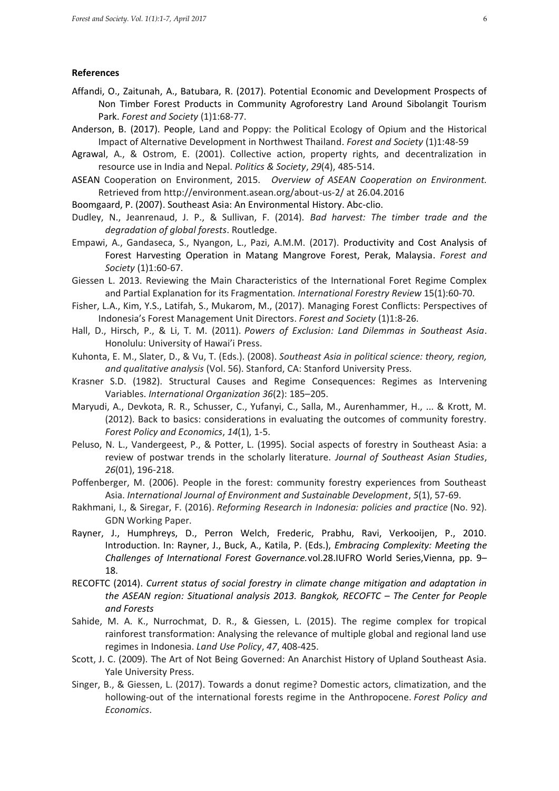### **References**

- Affandi, O., Zaitunah, A., Batubara, R. (2017). Potential Economic and Development Prospects of Non Timber Forest Products in Community Agroforestry Land Around Sibolangit Tourism Park. *Forest and Society* (1)1:68-77.
- Anderson, B. (2017). People, Land and Poppy: the Political Ecology of Opium and the Historical Impact of Alternative Development in Northwest Thailand. *Forest and Society* (1)1:48-59
- Agrawal, A., & Ostrom, E. (2001). Collective action, property rights, and decentralization in resource use in India and Nepal. *Politics & Society*, *29*(4), 485-514.
- ASEAN Cooperation on Environment, 2015. *Overview of ASEAN Cooperation on Environment.* Retrieved from<http://environment.asean.org/about-us-2/> at 26.04.2016
- Boomgaard, P. (2007). Southeast Asia: An Environmental History. Abc-clio.
- Dudley, N., Jeanrenaud, J. P., & Sullivan, F. (2014). *Bad harvest: The timber trade and the degradation of global forests*. Routledge.
- Empawi, A., Gandaseca, S., Nyangon, L., Pazi, A.M.M. (2017). Productivity and Cost Analysis of Forest Harvesting Operation in Matang Mangrove Forest, Perak, Malaysia. *Forest and Society* (1)1:60-67.
- Giessen L. 2013. Reviewing the Main Characteristics of the International Foret Regime Complex and Partial Explanation for its Fragmentation*. International Forestry Review* 15(1):60-70.
- Fisher, L.A., Kim, Y.S., Latifah, S., Mukarom, M., (2017). Managing Forest Conflicts: Perspectives of Indonesia's Forest Management Unit Directors. *Forest and Society* (1)1:8-26.
- Hall, D., Hirsch, P., & Li, T. M. (2011). *Powers of Exclusion: Land Dilemmas in Southeast Asia*. Honolulu: University of Hawai'i Press.
- Kuhonta, E. M., Slater, D., & Vu, T. (Eds.). (2008). *Southeast Asia in political science: theory, region, and qualitative analysis* (Vol. 56). Stanford, CA: Stanford University Press.
- Krasner S.D. (1982). Structural Causes and Regime Consequences: Regimes as Intervening Variables. *International Organization 36*(2): 185–205.
- Maryudi, A., Devkota, R. R., Schusser, C., Yufanyi, C., Salla, M., Aurenhammer, H., ... & Krott, M. (2012). Back to basics: considerations in evaluating the outcomes of community forestry. *Forest Policy and Economics*, *14*(1), 1-5.
- Peluso, N. L., Vandergeest, P., & Potter, L. (1995). Social aspects of forestry in Southeast Asia: a review of postwar trends in the scholarly literature. *Journal of Southeast Asian Studies*, *26*(01), 196-218.
- Poffenberger, M. (2006). People in the forest: community forestry experiences from Southeast Asia. *International Journal of Environment and Sustainable Development*, *5*(1), 57-69.
- Rakhmani, I., & Siregar, F. (2016). *Reforming Research in Indonesia: policies and practice* (No. 92). GDN Working Paper.
- Rayner, J., Humphreys, D., Perron Welch, Frederic, Prabhu, Ravi, Verkooijen, P., 2010. Introduction. In: Rayner, J., Buck, A., Katila, P. (Eds.), *Embracing Complexity: Meeting the Challenges of International Forest Governance.*vol.28.IUFRO World Series,Vienna, pp. 9– 18.
- RECOFTC (2014). *Current status of social forestry in climate change mitigation and adaptation in the ASEAN region: Situational analysis 2013. Bangkok, RECOFTC – The Center for People and Forests*
- Sahide, M. A. K., Nurrochmat, D. R., & Giessen, L. (2015). The regime complex for tropical rainforest transformation: Analysing the relevance of multiple global and regional land use regimes in Indonesia. *Land Use Policy*, *47*, 408-425.
- Scott, J. C. (2009). The Art of Not Being Governed: An Anarchist History of Upland Southeast Asia. Yale University Press.
- Singer, B., & Giessen, L. (2017). Towards a donut regime? Domestic actors, climatization, and the hollowing-out of the international forests regime in the Anthropocene. *Forest Policy and Economics*.